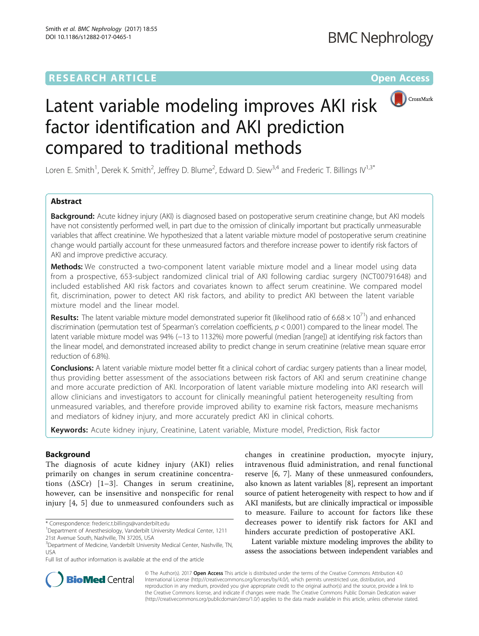# **RESEARCH ARTICLE Example 2014 12:30 The Community Community Community Community Community Community Community**



# Latent variable modeling improves AKI risk factor identification and AKI prediction compared to traditional methods

Loren E. Smith<sup>1</sup>, Derek K. Smith<sup>2</sup>, Jeffrey D. Blume<sup>2</sup>, Edward D. Siew<sup>3,4</sup> and Frederic T. Billings IV<sup>1,3\*</sup>

# Abstract

Background: Acute kidney injury (AKI) is diagnosed based on postoperative serum creatinine change, but AKI models have not consistently performed well, in part due to the omission of clinically important but practically unmeasurable variables that affect creatinine. We hypothesized that a latent variable mixture model of postoperative serum creatinine change would partially account for these unmeasured factors and therefore increase power to identify risk factors of AKI and improve predictive accuracy.

Methods: We constructed a two-component latent variable mixture model and a linear model using data from a prospective, 653-subject randomized clinical trial of AKI following cardiac surgery (NCT00791648) and included established AKI risk factors and covariates known to affect serum creatinine. We compared model fit, discrimination, power to detect AKI risk factors, and ability to predict AKI between the latent variable mixture model and the linear model.

**Results:** The latent variable mixture model demonstrated superior fit (likelihood ratio of 6.68  $\times$  10<sup>71</sup>) and enhanced discrimination (permutation test of Spearman's correlation coefficients,  $p < 0.001$ ) compared to the linear model. The latent variable mixture model was 94% (−13 to 1132%) more powerful (median [range]) at identifying risk factors than the linear model, and demonstrated increased ability to predict change in serum creatinine (relative mean square error reduction of 6.8%).

Conclusions: A latent variable mixture model better fit a clinical cohort of cardiac surgery patients than a linear model, thus providing better assessment of the associations between risk factors of AKI and serum creatinine change and more accurate prediction of AKI. Incorporation of latent variable mixture modeling into AKI research will allow clinicians and investigators to account for clinically meaningful patient heterogeneity resulting from unmeasured variables, and therefore provide improved ability to examine risk factors, measure mechanisms and mediators of kidney injury, and more accurately predict AKI in clinical cohorts.

Keywords: Acute kidney injury, Creatinine, Latent variable, Mixture model, Prediction, Risk factor

# Background

The diagnosis of acute kidney injury (AKI) relies primarily on changes in serum creatinine concentrations  $(\Delta SCr)$  [[1](#page-6-0)–[3](#page-7-0)]. Changes in serum creatinine, however, can be insensitive and nonspecific for renal injury [[4](#page-7-0), [5\]](#page-7-0) due to unmeasured confounders such as

\* Correspondence: [frederic.t.billings@vanderbilt.edu](mailto:frederic.t.billings@vanderbilt.edu) <sup>1</sup>

Full list of author information is available at the end of the article

changes in creatinine production, myocyte injury, intravenous fluid administration, and renal functional reserve [\[6, 7](#page-7-0)]. Many of these unmeasured confounders, also known as latent variables [[8\]](#page-7-0), represent an important source of patient heterogeneity with respect to how and if AKI manifests, but are clinically impractical or impossible to measure. Failure to account for factors like these decreases power to identify risk factors for AKI and hinders accurate prediction of postoperative AKI.

Latent variable mixture modeling improves the ability to assess the associations between independent variables and



© The Author(s). 2017 **Open Access** This article is distributed under the terms of the Creative Commons Attribution 4.0 International License [\(http://creativecommons.org/licenses/by/4.0/](http://creativecommons.org/licenses/by/4.0/)), which permits unrestricted use, distribution, and reproduction in any medium, provided you give appropriate credit to the original author(s) and the source, provide a link to the Creative Commons license, and indicate if changes were made. The Creative Commons Public Domain Dedication waiver [\(http://creativecommons.org/publicdomain/zero/1.0/](http://creativecommons.org/publicdomain/zero/1.0/)) applies to the data made available in this article, unless otherwise stated.

Department of Anesthesiology, Vanderbilt University Medical Center, 1211 21st Avenue South, Nashville, TN 37205, USA

<sup>&</sup>lt;sup>3</sup>Department of Medicine, Vanderbilt University Medical Center, Nashville, TN, USA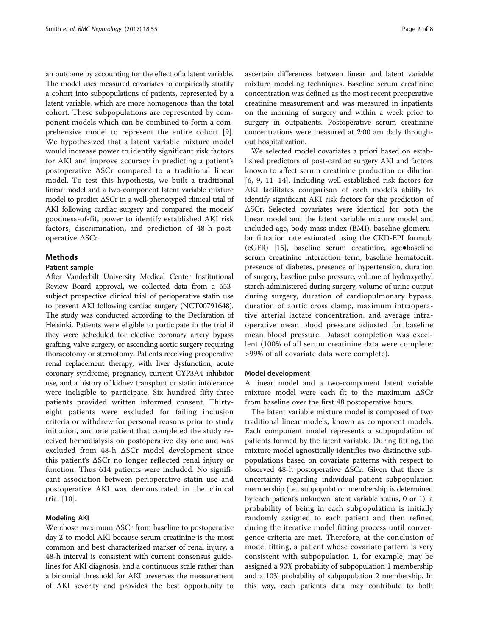an outcome by accounting for the effect of a latent variable. The model uses measured covariates to empirically stratify a cohort into subpopulations of patients, represented by a latent variable, which are more homogenous than the total cohort. These subpopulations are represented by component models which can be combined to form a comprehensive model to represent the entire cohort [[9](#page-7-0)]. We hypothesized that a latent variable mixture model would increase power to identify significant risk factors for AKI and improve accuracy in predicting a patient's postoperative ΔSCr compared to a traditional linear model. To test this hypothesis, we built a traditional linear model and a two-component latent variable mixture model to predict ΔSCr in a well-phenotyped clinical trial of AKI following cardiac surgery and compared the models' goodness-of-fit, power to identify established AKI risk factors, discrimination, and prediction of 48-h postoperative ΔSCr.

#### **Methods**

#### Patient sample

After Vanderbilt University Medical Center Institutional Review Board approval, we collected data from a 653 subject prospective clinical trial of perioperative statin use to prevent AKI following cardiac surgery (NCT00791648). The study was conducted according to the Declaration of Helsinki. Patients were eligible to participate in the trial if they were scheduled for elective coronary artery bypass grafting, valve surgery, or ascending aortic surgery requiring thoracotomy or sternotomy. Patients receiving preoperative renal replacement therapy, with liver dysfunction, acute coronary syndrome, pregnancy, current CYP3A4 inhibitor use, and a history of kidney transplant or statin intolerance were ineligible to participate. Six hundred fifty-three patients provided written informed consent. Thirtyeight patients were excluded for failing inclusion criteria or withdrew for personal reasons prior to study initiation, and one patient that completed the study received hemodialysis on postoperative day one and was excluded from 48-h ΔSCr model development since this patient's ΔSCr no longer reflected renal injury or function. Thus 614 patients were included. No significant association between perioperative statin use and postoperative AKI was demonstrated in the clinical trial [[10](#page-7-0)].

#### Modeling AKI

We chose maximum ΔSCr from baseline to postoperative day 2 to model AKI because serum creatinine is the most common and best characterized marker of renal injury, a 48-h interval is consistent with current consensus guidelines for AKI diagnosis, and a continuous scale rather than a binomial threshold for AKI preserves the measurement of AKI severity and provides the best opportunity to

ascertain differences between linear and latent variable mixture modeling techniques. Baseline serum creatinine concentration was defined as the most recent preoperative creatinine measurement and was measured in inpatients on the morning of surgery and within a week prior to surgery in outpatients. Postoperative serum creatinine concentrations were measured at 2:00 am daily throughout hospitalization.

We selected model covariates a priori based on established predictors of post-cardiac surgery AKI and factors known to affect serum creatinine production or dilution [[6, 9, 11](#page-7-0)–[14\]](#page-7-0). Including well-established risk factors for AKI facilitates comparison of each model's ability to identify significant AKI risk factors for the prediction of ΔSCr. Selected covariates were identical for both the linear model and the latent variable mixture model and included age, body mass index (BMI), baseline glomerular filtration rate estimated using the CKD-EPI formula (eGFR) [[15\]](#page-7-0), baseline serum creatinine, age●baseline serum creatinine interaction term, baseline hematocrit, presence of diabetes, presence of hypertension, duration of surgery, baseline pulse pressure, volume of hydroxyethyl starch administered during surgery, volume of urine output during surgery, duration of cardiopulmonary bypass, duration of aortic cross clamp, maximum intraoperative arterial lactate concentration, and average intraoperative mean blood pressure adjusted for baseline mean blood pressure. Dataset completion was excellent (100% of all serum creatinine data were complete; >99% of all covariate data were complete).

#### Model development

A linear model and a two-component latent variable mixture model were each fit to the maximum ΔSCr from baseline over the first 48 postoperative hours.

The latent variable mixture model is composed of two traditional linear models, known as component models. Each component model represents a subpopulation of patients formed by the latent variable. During fitting, the mixture model agnostically identifies two distinctive subpopulations based on covariate patterns with respect to observed 48-h postoperative ΔSCr. Given that there is uncertainty regarding individual patient subpopulation membership (i.e., subpopulation membership is determined by each patient's unknown latent variable status, 0 or 1), a probability of being in each subpopulation is initially randomly assigned to each patient and then refined during the iterative model fitting process until convergence criteria are met. Therefore, at the conclusion of model fitting, a patient whose covariate pattern is very consistent with subpopulation 1, for example, may be assigned a 90% probability of subpopulation 1 membership and a 10% probability of subpopulation 2 membership. In this way, each patient's data may contribute to both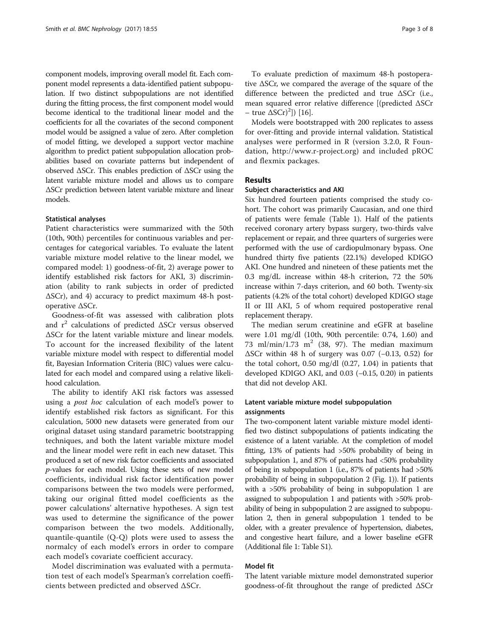component models, improving overall model fit. Each component model represents a data-identified patient subpopulation. If two distinct subpopulations are not identified during the fitting process, the first component model would become identical to the traditional linear model and the coefficients for all the covariates of the second component model would be assigned a value of zero. After completion of model fitting, we developed a support vector machine algorithm to predict patient subpopulation allocation probabilities based on covariate patterns but independent of observed ΔSCr. This enables prediction of ΔSCr using the latent variable mixture model and allows us to compare ΔSCr prediction between latent variable mixture and linear models.

#### Statistical analyses

Patient characteristics were summarized with the 50th (10th, 90th) percentiles for continuous variables and percentages for categorical variables. To evaluate the latent variable mixture model relative to the linear model, we compared model: 1) goodness-of-fit, 2) average power to identify established risk factors for AKI, 3) discrimination (ability to rank subjects in order of predicted ΔSCr), and 4) accuracy to predict maximum 48-h postoperative ΔSCr.

Goodness-of-fit was assessed with calibration plots and  $r^2$  calculations of predicted  $\Delta$ SCr versus observed ΔSCr for the latent variable mixture and linear models. To account for the increased flexibility of the latent variable mixture model with respect to differential model fit, Bayesian Information Criteria (BIC) values were calculated for each model and compared using a relative likelihood calculation.

The ability to identify AKI risk factors was assessed using a post hoc calculation of each model's power to identify established risk factors as significant. For this calculation, 5000 new datasets were generated from our original dataset using standard parametric bootstrapping techniques, and both the latent variable mixture model and the linear model were refit in each new dataset. This produced a set of new risk factor coefficients and associated p-values for each model. Using these sets of new model coefficients, individual risk factor identification power comparisons between the two models were performed, taking our original fitted model coefficients as the power calculations' alternative hypotheses. A sign test was used to determine the significance of the power comparison between the two models. Additionally, quantile-quantile (Q-Q) plots were used to assess the normalcy of each model's errors in order to compare each model's covariate coefficient accuracy.

Model discrimination was evaluated with a permutation test of each model's Spearman's correlation coefficients between predicted and observed ΔSCr.

To evaluate prediction of maximum 48-h postoperative ΔSCr, we compared the average of the square of the difference between the predicted and true ΔSCr (i.e., mean squared error relative difference [(predicted ΔSCr – true  $\Delta$ SCr $)^2$ ]) [\[16](#page-7-0)].

Models were bootstrapped with 200 replicates to assess for over-fitting and provide internal validation. Statistical analyses were performed in R (version 3.2.0, R Foundation, [http://www.r-project.org](http://www.r-project.org/)) and included pROC and flexmix packages.

#### Results

#### Subject characteristics and AKI

Six hundred fourteen patients comprised the study cohort. The cohort was primarily Caucasian, and one third of patients were female (Table [1](#page-3-0)). Half of the patients received coronary artery bypass surgery, two-thirds valve replacement or repair, and three quarters of surgeries were performed with the use of cardiopulmonary bypass. One hundred thirty five patients (22.1%) developed KDIGO AKI. One hundred and nineteen of these patients met the 0.3 mg/dL increase within 48-h criterion, 72 the 50% increase within 7-days criterion, and 60 both. Twenty-six patients (4.2% of the total cohort) developed KDIGO stage II or III AKI, 5 of whom required postoperative renal replacement therapy.

The median serum creatinine and eGFR at baseline were 1.01 mg/dl (10th, 90th percentile: 0.74, 1.60) and 73 ml/min/1.73 m<sup>2</sup> (38, 97). The median maximum ΔSCr within 48 h of surgery was 0.07 (−0.13, 0.52) for the total cohort, 0.50 mg/dl (0.27, 1.04) in patients that developed KDIGO AKI, and 0.03 (−0.15, 0.20) in patients that did not develop AKI.

### Latent variable mixture model subpopulation assignments

The two-component latent variable mixture model identified two distinct subpopulations of patients indicating the existence of a latent variable. At the completion of model fitting, 13% of patients had >50% probability of being in subpopulation 1, and 87% of patients had <50% probability of being in subpopulation 1 (i.e., 87% of patients had >50% probability of being in subpopulation 2 (Fig. [1\)](#page-3-0)). If patients with a >50% probability of being in subpopulation 1 are assigned to subpopulation 1 and patients with >50% probability of being in subpopulation 2 are assigned to subpopulation 2, then in general subpopulation 1 tended to be older, with a greater prevalence of hypertension, diabetes, and congestive heart failure, and a lower baseline eGFR (Additional file [1:](#page-6-0) Table S1).

### Model fit

The latent variable mixture model demonstrated superior goodness-of-fit throughout the range of predicted ΔSCr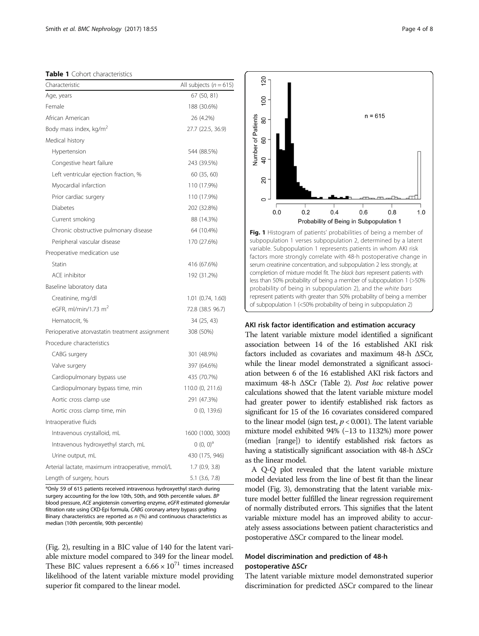<span id="page-3-0"></span>Table 1 Cohort characteristics

| Characteristic                                   | All subjects ( $n = 615$ ) |
|--------------------------------------------------|----------------------------|
| Age, years                                       | 67 (50, 81)                |
| Female                                           | 188 (30.6%)                |
| African American                                 | 26 (4.2%)                  |
| Body mass index, kg/m <sup>2</sup>               | 27.7 (22.5, 36.9)          |
| Medical history                                  |                            |
| Hypertension                                     | 544 (88.5%)                |
| Congestive heart failure                         | 243 (39.5%)                |
| Left ventricular ejection fraction, %            | 60 (35, 60)                |
| Myocardial infarction                            | 110 (17.9%)                |
| Prior cardiac surgery                            | 110 (17.9%)                |
| <b>Diabetes</b>                                  | 202 (32.8%)                |
| Current smoking                                  | 88 (14.3%)                 |
| Chronic obstructive pulmonary disease            | 64 (10.4%)                 |
| Peripheral vascular disease                      | 170 (27.6%)                |
| Preoperative medication use                      |                            |
| Statin                                           | 416 (67.6%)                |
| <b>ACE</b> inhibitor                             | 192 (31.2%)                |
| Baseline laboratory data                         |                            |
| Creatinine, mg/dl                                | 1.01 (0.74, 1.60)          |
| eGFR, ml/min/1.73 $m2$                           | 72.8 (38.5 96.7)           |
| Hematocrit. %                                    | 34 (25, 43)                |
| Perioperative atorvastatin treatment assignment  | 308 (50%)                  |
| Procedure characteristics                        |                            |
| CABG surgery                                     | 301 (48.9%)                |
| Valve surgery                                    | 397 (64.6%)                |
| Cardiopulmonary bypass use                       | 435 (70.7%)                |
| Cardiopulmonary bypass time, min                 | 110.0 (0, 211.6)           |
| Aortic cross clamp use                           | 291 (47.3%)                |
| Aortic cross clamp time, min                     | 0(0, 139.6)                |
| Intraoperative fluids                            |                            |
| Intravenous crystalloid, mL                      | 1600 (1000, 3000)          |
| Intravenous hydroxyethyl starch, mL              | $(0, 0)^a$                 |
| Urine output, mL                                 | 430 (175, 946)             |
| Arterial lactate, maximum intraoperative, mmol/L | 1.7(0.9, 3.8)              |
| Length of surgery, hours                         | 5.1 (3.6, 7.8)             |

<sup>a</sup>Only 59 of 615 patients received intravenous hydroxyethyl starch during surgery accounting for the low 10th, 50th, and 90th percentile values. BP blood pressure, ACE angiotensin converting enzyme, eGFR estimated glomerular filtration rate using CKD-Epi formula, CABG coronary artery bypass grafting Binary characteristics are reported as  $n$  (%) and continuous characteristics as median (10th percentile, 90th percentile)

(Fig. [2\)](#page-4-0), resulting in a BIC value of 140 for the latent variable mixture model compared to 349 for the linear model. These BIC values represent a  $6.66 \times 10^{71}$  times increased likelihood of the latent variable mixture model providing superior fit compared to the linear model.

 $n = 615$  $0.0$  $0.2$  $0.4$  $0.6$  $0.8$  $1.0$ Probability of Being in Subpopulation 1

 $120$ 

100

80

60

 $\overline{Q}$ 

20

Number of Patients

Fig. 1 Histogram of patients' probabilities of being a member of subpopulation 1 verses subpopulation 2, determined by a latent variable. Subpopulation 1 represents patients in whom AKI risk factors more strongly correlate with 48-h postoperative change in serum creatinine concentration, and subpopulation 2 less strongly, at completion of mixture model fit. The black bars represent patients with less than 50% probability of being a member of subpopulation 1 (>50% probability of being in subpopulation 2), and the white bars represent patients with greater than 50% probability of being a member of subpopulation 1 (<50% probability of being in subpopulation 2)

#### AKI risk factor identification and estimation accuracy

The latent variable mixture model identified a significant association between 14 of the 16 established AKI risk factors included as covariates and maximum 48-h ΔSCr, while the linear model demonstrated a significant association between 6 of the 16 established AKI risk factors and maximum 48-h ΔSCr (Table [2](#page-4-0)). Post hoc relative power calculations showed that the latent variable mixture model had greater power to identify established risk factors as significant for 15 of the 16 covariates considered compared to the linear model (sign test,  $p < 0.001$ ). The latent variable mixture model exhibited 94% (−13 to 1132%) more power (median [range]) to identify established risk factors as having a statistically significant association with 48-h ΔSCr as the linear model.

A Q-Q plot revealed that the latent variable mixture model deviated less from the line of best fit than the linear model (Fig. [3\)](#page-5-0), demonstrating that the latent variable mixture model better fulfilled the linear regression requirement of normally distributed errors. This signifies that the latent variable mixture model has an improved ability to accurately assess associations between patient characteristics and postoperative ΔSCr compared to the linear model.

# Model discrimination and prediction of 48-h postoperative ΔSCr

The latent variable mixture model demonstrated superior discrimination for predicted ΔSCr compared to the linear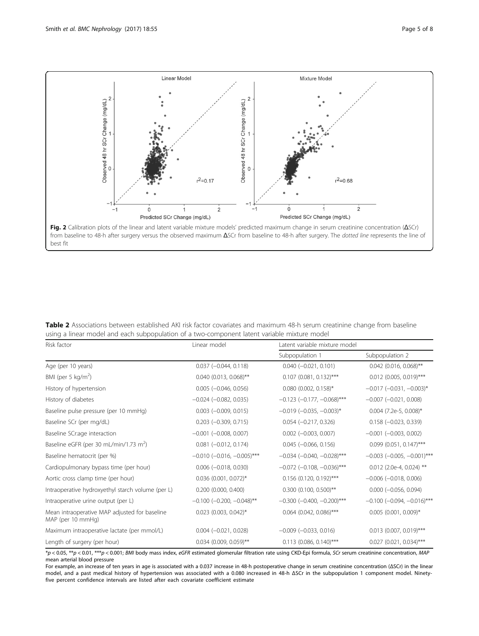<span id="page-4-0"></span>

from baseline to 48-h after surgery versus the observed maximum ΔSCr from baseline to 48-h after surgery. The dotted line represents the line of best fit

Table 2 Associations between established AKI risk factor covariates and maximum 48-h serum creatinine change from baseline using a linear model and each subpopulation of a two-component latent variable mixture model

| Risk factor                                                                                                                                                                 | Linear model                        | Latent variable mixture model       |                                     |
|-----------------------------------------------------------------------------------------------------------------------------------------------------------------------------|-------------------------------------|-------------------------------------|-------------------------------------|
|                                                                                                                                                                             |                                     | Subpopulation 1                     | Subpopulation 2                     |
| Age (per 10 years)                                                                                                                                                          | $0.037 (-0.044, 0.118)$             | $0.040 (-0.021, 0.101)$             | $0.042$ (0.016, 0.068)**            |
| BMI (per 5 kg/m <sup>2</sup> )                                                                                                                                              | $0.040$ (0.013, 0.068)**            | $0.107$ (0.081, 0.132)***           | $0.012$ (0.005, 0.019)***           |
| History of hypertension                                                                                                                                                     | $0.005$ ( $-0.046$ , 0.056)         | $0.080$ (0.002, 0.158)*             | $-0.017$ $(-0.031, -0.003)^*$       |
| History of diabetes                                                                                                                                                         | $-0.024$ $(-0.082, 0.035)$          | $-0.123$ ( $-0.177$ , $-0.068$ )*** | $-0.007$ $(-0.021, 0.008)$          |
| Baseline pulse pressure (per 10 mmHg)                                                                                                                                       | $0.003$ (-0.009, 0.015)             | $-0.019$ $(-0.035, -0.003)^*$       | $0.004$ (7.2e-5, 0.008)*            |
| Baseline SCr (per mg/dL)                                                                                                                                                    | $0.203 (-0.309, 0.715)$             | $0.054 (-0.217, 0.326)$             | $0.158 (-0.023, 0.339)$             |
| Baseline SCr:age interaction                                                                                                                                                | $-0.001$ $(-0.008, 0.007)$          | $0.002$ ( $-0.003$ , $0.007$ )      | $-0.001$ $(-0.003, 0.002)$          |
| Baseline eGFR (per 30 mL/min/1.73 m <sup>2</sup> )                                                                                                                          | $0.081$ (-0.012, 0.174)             | $0.045 (-0.066, 0.156)$             | $0.099$ (0.051, 0.147)***           |
| Baseline hematocrit (per %)                                                                                                                                                 | $-0.010$ ( $-0.016$ , $-0.005$ )*** | $-0.034$ ( $-0.040$ , $-0.028$ )*** | $-0.003$ ( $-0.005$ , $-0.001$ )*** |
| Cardiopulmonary bypass time (per hour)                                                                                                                                      | $0.006$ ( $-0.018$ , 0.030)         | $-0.072$ ( $-0.108$ , $-0.036$ )*** | $0.012$ (2.0e-4, 0.024) **          |
| Aortic cross clamp time (per hour)                                                                                                                                          | $0.036$ (0.001, 0.072)*             | $0.156$ (0.120, 0.192)***           | $-0.006$ $(-0.018, 0.006)$          |
| Intraoperative hydroxyethyl starch volume (per L)                                                                                                                           | $0.200$ $(0.000, 0.400)$            | $0.300$ (0.100, 0.500)**            | $0.000 (-0.056, 0.094)$             |
| Intraoperative urine output (per L)                                                                                                                                         | $-0.100$ ( $-0.200$ , $-0.048$ )**  | $-0.300$ $(-0.400, -0.200)$ ***     | $-0.100$ ( $-0.094$ , $-0.016$ )*** |
| Mean intraoperative MAP adjusted for baseline<br>MAP (per 10 mmHg)                                                                                                          | $0.023$ (0.003, 0.042)*             | $0.064$ (0.042, 0.086)***           | $0.005$ (0.001, 0.009)*             |
| Maximum intraoperative lactate (per mmol/L)                                                                                                                                 | $0.004 (-0.021, 0.028)$             | $-0.009$ $(-0.033, 0.016)$          | $0.013$ (0.007, 0.019)***           |
| Length of surgery (per hour)                                                                                                                                                | $0.034$ (0.009, 0.059)**            | $0.113$ (0.086, 0.140)***           | $0.027$ (0.021, 0.034)***           |
| $*_p$ < 0.05, $**_p$ < 0.01, $***_p$ < 0.001; BMI body mass index, eGFR estimated glomerular filtration rate using CKD-Epi formula, SCr serum creatinine concentration, MAP |                                     |                                     |                                     |

mean arterial blood pressure

For example, an increase of ten years in age is associated with a 0.037 increase in 48-h postoperative change in serum creatinine concentration (ΔSCr) in the linear model, and a past medical history of hypertension was associated with a 0.080 increased in 48-h ΔSCr in the subpopulation 1 component model. Ninetyfive percent confidence intervals are listed after each covariate coefficient estimate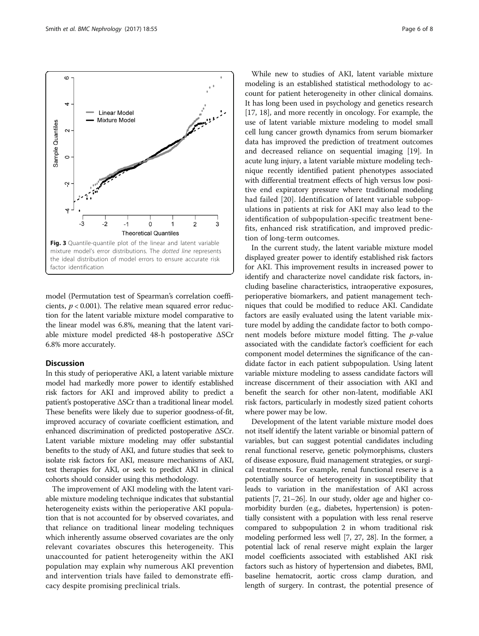<span id="page-5-0"></span>

model (Permutation test of Spearman's correlation coefficients,  $p < 0.001$ ). The relative mean squared error reduction for the latent variable mixture model comparative to the linear model was 6.8%, meaning that the latent variable mixture model predicted 48-h postoperative ΔSCr 6.8% more accurately.

# Discussion

In this study of perioperative AKI, a latent variable mixture model had markedly more power to identify established risk factors for AKI and improved ability to predict a patient's postoperative ΔSCr than a traditional linear model. These benefits were likely due to superior goodness-of-fit, improved accuracy of covariate coefficient estimation, and enhanced discrimination of predicted postoperative ΔSCr. Latent variable mixture modeling may offer substantial benefits to the study of AKI, and future studies that seek to isolate risk factors for AKI, measure mechanisms of AKI, test therapies for AKI, or seek to predict AKI in clinical cohorts should consider using this methodology.

The improvement of AKI modeling with the latent variable mixture modeling technique indicates that substantial heterogeneity exists within the perioperative AKI population that is not accounted for by observed covariates, and that reliance on traditional linear modeling techniques which inherently assume observed covariates are the only relevant covariates obscures this heterogeneity. This unaccounted for patient heterogeneity within the AKI population may explain why numerous AKI prevention and intervention trials have failed to demonstrate efficacy despite promising preclinical trials.

While new to studies of AKI, latent variable mixture modeling is an established statistical methodology to account for patient heterogeneity in other clinical domains. It has long been used in psychology and genetics research [[17](#page-7-0), [18](#page-7-0)], and more recently in oncology. For example, the use of latent variable mixture modeling to model small cell lung cancer growth dynamics from serum biomarker data has improved the prediction of treatment outcomes and decreased reliance on sequential imaging [\[19](#page-7-0)]. In acute lung injury, a latent variable mixture modeling technique recently identified patient phenotypes associated with differential treatment effects of high versus low positive end expiratory pressure where traditional modeling had failed [\[20](#page-7-0)]. Identification of latent variable subpopulations in patients at risk for AKI may also lead to the identification of subpopulation-specific treatment benefits, enhanced risk stratification, and improved prediction of long-term outcomes.

In the current study, the latent variable mixture model displayed greater power to identify established risk factors for AKI. This improvement results in increased power to identify and characterize novel candidate risk factors, including baseline characteristics, intraoperative exposures, perioperative biomarkers, and patient management techniques that could be modified to reduce AKI. Candidate factors are easily evaluated using the latent variable mixture model by adding the candidate factor to both component models before mixture model fitting. The p-value associated with the candidate factor's coefficient for each component model determines the significance of the candidate factor in each patient subpopulation. Using latent variable mixture modeling to assess candidate factors will increase discernment of their association with AKI and benefit the search for other non-latent, modifiable AKI risk factors, particularly in modestly sized patient cohorts where power may be low.

Development of the latent variable mixture model does not itself identify the latent variable or binomial pattern of variables, but can suggest potential candidates including renal functional reserve, genetic polymorphisms, clusters of disease exposure, fluid management strategies, or surgical treatments. For example, renal functional reserve is a potentially source of heterogeneity in susceptibility that leads to variation in the manifestation of AKI across patients [\[7, 21](#page-7-0)–[26\]](#page-7-0). In our study, older age and higher comorbidity burden (e.g., diabetes, hypertension) is potentially consistent with a population with less renal reserve compared to subpopulation 2 in whom traditional risk modeling performed less well [\[7](#page-7-0), [27](#page-7-0), [28](#page-7-0)]. In the former, a potential lack of renal reserve might explain the larger model coefficients associated with established AKI risk factors such as history of hypertension and diabetes, BMI, baseline hematocrit, aortic cross clamp duration, and length of surgery. In contrast, the potential presence of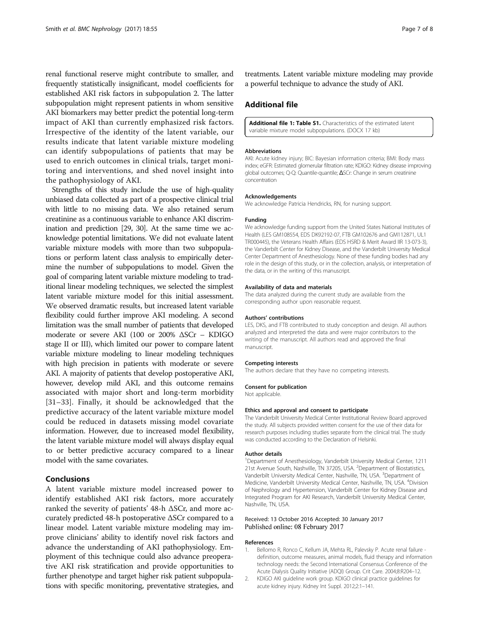<span id="page-6-0"></span>renal functional reserve might contribute to smaller, and frequently statistically insignificant, model coefficients for established AKI risk factors in subpopulation 2. The latter subpopulation might represent patients in whom sensitive AKI biomarkers may better predict the potential long-term impact of AKI than currently emphasized risk factors. Irrespective of the identity of the latent variable, our results indicate that latent variable mixture modeling can identify subpopulations of patients that may be used to enrich outcomes in clinical trials, target monitoring and interventions, and shed novel insight into the pathophysiology of AKI.

Strengths of this study include the use of high-quality unbiased data collected as part of a prospective clinical trial with little to no missing data. We also retained serum creatinine as a continuous variable to enhance AKI discrimination and prediction [[29](#page-7-0), [30\]](#page-7-0). At the same time we acknowledge potential limitations. We did not evaluate latent variable mixture models with more than two subpopulations or perform latent class analysis to empirically determine the number of subpopulations to model. Given the goal of comparing latent variable mixture modeling to traditional linear modeling techniques, we selected the simplest latent variable mixture model for this initial assessment. We observed dramatic results, but increased latent variable flexibility could further improve AKI modeling. A second limitation was the small number of patients that developed moderate or severe AKI (100 or 200% ΔSCr – KDIGO stage II or III), which limited our power to compare latent variable mixture modeling to linear modeling techniques with high precision in patients with moderate or severe AKI. A majority of patients that develop postoperative AKI, however, develop mild AKI, and this outcome remains associated with major short and long-term morbidity [[31](#page-7-0)–[33\]](#page-7-0). Finally, it should be acknowledged that the predictive accuracy of the latent variable mixture model could be reduced in datasets missing model covariate information. However, due to increased model flexibility, the latent variable mixture model will always display equal to or better predictive accuracy compared to a linear model with the same covariates.

#### Conclusions

A latent variable mixture model increased power to identify established AKI risk factors, more accurately ranked the severity of patients' 48-h ΔSCr, and more accurately predicted 48-h postoperative ΔSCr compared to a linear model. Latent variable mixture modeling may improve clinicians' ability to identify novel risk factors and advance the understanding of AKI pathophysiology. Employment of this technique could also advance preoperative AKI risk stratification and provide opportunities to further phenotype and target higher risk patient subpopulations with specific monitoring, preventative strategies, and

treatments. Latent variable mixture modeling may provide a powerful technique to advance the study of AKI.

# Additional file

[Additional file 1: Table S1.](dx.doi.org/10.1186/s12882-017-0465-1) Characteristics of the estimated latent variable mixture model subpopulations. (DOCX 17 kb)

#### Abbreviations

AKI: Acute kidney injury; BIC: Bayesian information criteria; BMI: Body mass index; eGFR: Estimated glomerular filtration rate; KDIGO: Kidney disease improving global outcomes; Q-Q: Quantile-quantile; ΔSCr: Change in serum creatinine concentration

#### Acknowledgements

We acknowledge Patricia Hendricks, RN, for nursing support.

#### Funding

We acknowledge funding support from the United States National Institutes of Health (LES GM108554, EDS DK92192-07, FTB GM102676 and GM112871, UL1 TR000445), the Veterans Health Affairs (EDS HSRD & Merit Award IIR 13-073-3), the Vanderbilt Center for Kidney Disease, and the Vanderbilt University Medical Center Department of Anesthesiology. None of these funding bodies had any role in the design of this study, or in the collection, analysis, or interpretation of the data, or in the writing of this manuscript.

#### Availability of data and materials

The data analyzed during the current study are available from the corresponding author upon reasonable request.

#### Authors' contributions

LES, DKS, and FTB contributed to study conception and design. All authors analyzed and interpreted the data and were major contributors to the writing of the manuscript. All authors read and approved the final manuscript.

#### Competing interests

The authors declare that they have no competing interests.

#### Consent for publication

Not applicable.

#### Ethics and approval and consent to participate

The Vanderbilt University Medical Center Institutional Review Board approved the study. All subjects provided written consent for the use of their data for research purposes including studies separate from the clinical trial. The study was conducted according to the Declaration of Helsinki.

#### Author details

<sup>1</sup>Department of Anesthesiology, Vanderbilt University Medical Center, 1211 21st Avenue South, Nashville, TN 37205, USA. <sup>2</sup>Department of Biostatistics Vanderbilt University Medical Center, Nashville, TN, USA. <sup>3</sup>Department of Medicine, Vanderbilt University Medical Center, Nashville, TN, USA. <sup>4</sup> Division of Nephrology and Hypertension, Vanderbilt Center for Kidney Disease and Integrated Program for AKI Research, Vanderbilt University Medical Center, Nashville, TN, USA.

#### Received: 13 October 2016 Accepted: 30 January 2017 Published online: 08 February 2017

#### References

- 1. Bellomo R, Ronco C, Kellum JA, Mehta RL, Palevsky P. Acute renal failure definition, outcome measures, animal models, fluid therapy and information technology needs: the Second International Consensus Conference of the Acute Dialysis Quality Initiative (ADQI) Group. Crit Care. 2004;8:R204–12.
- 2. KDIGO AKI guideline work group. KDIGO clinical practice guidelines for acute kidney injury. Kidney Int Suppl. 2012;2:1–141.